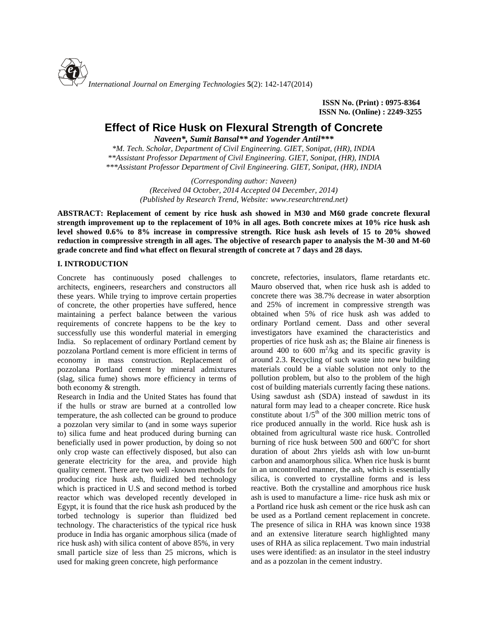

**ISSN No. (Print) : 0975-8364 ISSN No. (Online) : 2249-3255**

# **Effect of Rice Husk on Flexural Strength of Concrete**

*Naveen\*, Sumit Bansal\*\* and Yogender Antil\*\*\**

*\*M. Tech. Scholar, Department of Civil Engineering. GIET, Sonipat, (HR), INDIA \*\*Assistant Professor Department of Civil Engineering. GIET, Sonipat, (HR), INDIA \*\*\*Assistant Professor Department of Civil Engineering. GIET, Sonipat, (HR), INDIA*

> *(Corresponding author: Naveen) (Received 04 October, 2014 Accepted 04 December, 2014) (Published by Research Trend, Website: [www.researchtrend.net\)](www.researchtrend.net)*

**ABSTRACT: Replacement of cement by rice husk ash showed in M30 and M60 grade concrete flexural strength improvement up to the replacement of 10% in all ages. Both concrete mixes at 10% rice husk ash level showed 0.6% to 8% increase in compressive strength. Rice husk ash levels of 15 to 20% showed reduction in compressive strength in all ages. The objective of research paper to analysis the M-30 and M-60 grade concrete and find what effect on flexural strength of concrete at 7 days and 28 days.**

# **I. INTRODUCTION**

Concrete has continuously posed challenges to architects, engineers, researchers and constructors all these years. While trying to improve certain properties of concrete, the other properties have suffered, hence maintaining a perfect balance between the various requirements of concrete happens to be the key to successfully use this wonderful material in emerging India. So replacement of ordinary Portland cement by pozzolana Portland cement is more efficient in terms of economy in mass construction. Replacement of pozzolana Portland cement by mineral admixtures (slag, silica fume) shows more efficiency in terms of both economy & strength.

Research in India and the United States has found that if the hulls or straw are burned at a controlled low temperature, the ash collected can be ground to produce a pozzolan very similar to (and in some ways superior to) silica fume and heat produced during burning can beneficially used in power production, by doing so not only crop waste can effectively disposed, but also can generate electricity for the area, and provide high quality cement. There are two well -known methods for producing rice husk ash, fluidized bed technology which is practiced in U.S and second method is torbed reactor which was developed recently developed in Egypt, it is found that the rice husk ash produced by the torbed technology is superior than fluidized bed technology. The characteristics of the typical rice husk produce in India has organic amorphous silica (made of rice husk ash) with silica content of above 85%, in very small particle size of less than 25 microns, which is used for making green concrete, high performance

concrete, refectories, insulators, flame retardants etc. Mauro observed that, when rice husk ash is added to concrete there was 38.7% decrease in water absorption and 25% of increment in compressive strength was obtained when 5% of rice husk ash was added to ordinary Portland cement. Dass and other several investigators have examined the characteristics and properties of rice husk ash as; the Blaine air fineness is around 400 to 600  $\text{m}^2/\text{kg}$  and its specific gravity is around 2.3. Recycling of such waste into new building materials could be a viable solution not only to the pollution problem, but also to the problem of the high cost of building materials currently facing these nations. Using sawdust ash (SDA) instead of sawdust in its natural form may lead to a cheaper concrete. Rice husk constitute about  $1/5<sup>th</sup>$  of the 300 million metric tons of rice produced annually in the world. Rice husk ash is obtained from agricultural waste rice husk. Controlled burning of rice husk between 500 and  $600^{\circ}$ C for short duration of about 2hrs yields ash with low un-burnt carbon and anamorphous silica. When rice husk is burnt in an uncontrolled manner, the ash, which is essentially silica, is converted to crystalline forms and is less reactive. Both the crystalline and amorphous rice husk ash is used to manufacture a lime- rice husk ash mix or a Portland rice husk ash cement or the rice husk ash can be used as a Portland cement replacement in concrete. The presence of silica in RHA was known since 1938 and an extensive literature search highlighted many uses of RHA as silica replacement. Two main industrial uses were identified: as an insulator in the steel industry and as a pozzolan in the cement industry.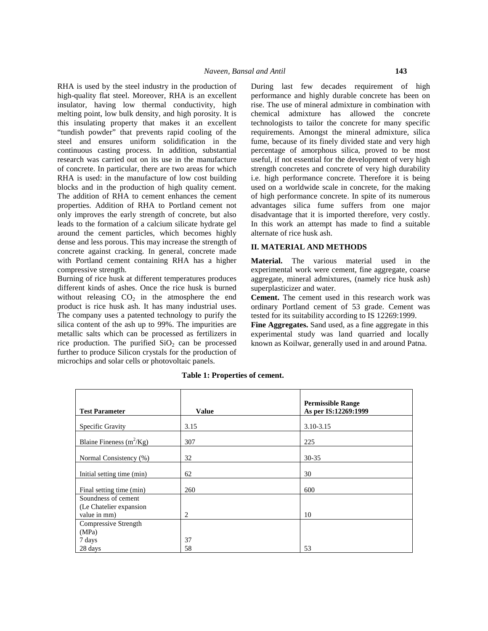RHA is used by the steel industry in the production of high-quality flat steel. Moreover, RHA is an excellent insulator, having low thermal conductivity, high melting point, low bulk density, and high porosity. It is this insulating property that makes it an excellent "tundish powder" that prevents rapid cooling of the steel and ensures uniform solidification in the continuous casting process. In addition, substantial research was carried out on its use in the manufacture of concrete. In particular, there are two areas for which RHA is used: in the manufacture of low cost building blocks and in the production of high quality cement. The addition of RHA to cement enhances the cement properties. Addition of RHA to Portland cement not only improves the early strength of concrete, but also leads to the formation of a calcium silicate hydrate gel around the cement particles, which becomes highly dense and less porous. This may increase the strength of concrete against cracking. In general, concrete made with Portland cement containing RHA has a higher compressive strength.

Burning of rice husk at different temperatures produces different kinds of ashes. Once the rice husk is burned without releasing  $CO<sub>2</sub>$  in the atmosphere the end product is rice husk ash. It has many industrial uses. The company uses a patented technology to purify the silica content of the ash up to 99%. The impurities are metallic salts which can be processed as fertilizers in rice production. The purified  $SiO<sub>2</sub>$  can be processed further to produce Silicon crystals for the production of microchips and solar cells or photovoltaic panels.

During last few decades requirement of high performance and highly durable concrete has been on rise. The use of mineral admixture in combination with chemical admixture has allowed the concrete technologists to tailor the concrete for many specific requirements. Amongst the mineral admixture, silica fume, because of its finely divided state and very high percentage of amorphous silica, proved to be most useful, if not essential for the development of very high strength concretes and concrete of very high durability i.e. high performance concrete. Therefore it is being used on a worldwide scale in concrete, for the making of high performance concrete. In spite of its numerous advantages silica fume suffers from one major disadvantage that it is imported therefore, very costly. In this work an attempt has made to find a suitable alternate of rice husk ash.

## **II. MATERIAL AND METHODS**

**Material.** The various material used in the experimental work were cement, fine aggregate, coarse aggregate, mineral admixtures, (namely rice husk ash) superplasticizer and water.

**Cement.** The cement used in this research work was ordinary Portland cement of 53 grade. Cement was tested for its suitability according to IS 12269:1999.

Fine Aggregates. Sand used, as a fine aggregate in this experimental study was land quarried and locally known as Koilwar, generally used in and around Patna.

|                                                |              | <b>Permissible Range</b> |
|------------------------------------------------|--------------|--------------------------|
| <b>Test Parameter</b>                          | <b>Value</b> | As per IS:12269:1999     |
| Specific Gravity                               | 3.15         | 3.10-3.15                |
| Blaine Fineness $(m^2/Kg)$                     | 307          | 225                      |
| Normal Consistency (%)                         | 32           | $30 - 35$                |
| Initial setting time (min)                     | 62           | 30                       |
| Final setting time (min)                       | 260          | 600                      |
| Soundness of cement<br>(Le Chatelier expansion |              |                          |
| value in mm)                                   | 2            | 10                       |
| Compressive Strength                           |              |                          |
| (MPa)                                          |              |                          |
| 7 days<br>28 days                              | 37<br>58     | 53                       |

#### **Table 1: Properties of cement.**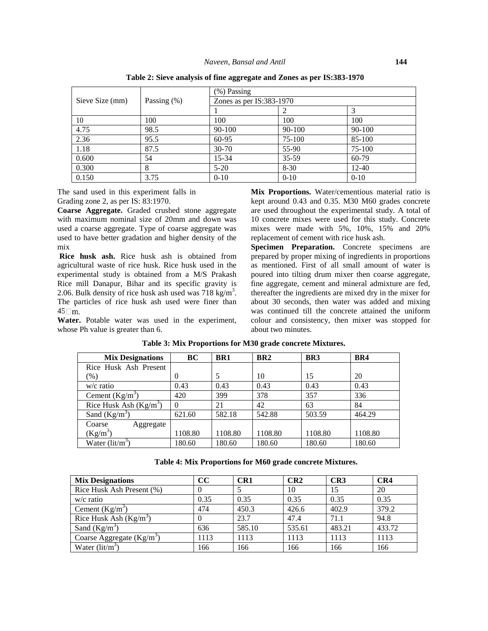|                 |                | $(\%)$ Passing           |          |            |  |
|-----------------|----------------|--------------------------|----------|------------|--|
| Sieve Size (mm) | Passing $(\%)$ | Zones as per IS:383-1970 |          |            |  |
|                 |                |                          |          |            |  |
| 10              | 100            | 100                      | 100      | 100        |  |
| 4.75            | 98.5           | $90 - 100$               | 90-100   | $90 - 100$ |  |
| 2.36            | 95.5           | 60-95                    | 75-100   | 85-100     |  |
| 1.18            | 87.5           | $30 - 70$                | 55-90    | 75-100     |  |
| 0.600           | 54             | $15 - 34$                | 35-59    | 60-79      |  |
| 0.300           | 8              | $5-20$                   | $8 - 30$ | $12 - 40$  |  |
| 0.150           | 3.75           | $0 - 10$                 | $0 - 10$ | $0-10$     |  |

**Table 2: Sieve analysis of fine aggregate and Zones as per IS:383-1970**

The sand used in this experiment falls in Grading zone 2, as per IS: 83:1970.

**Coarse Aggregate.** Graded crushed stone aggregate with maximum nominal size of 20mm and down was used a coarse aggregate. Type of coarse aggregate was used to have better gradation and higher density of the mix

**Rice husk ash.** Rice husk ash is obtained from agricultural waste of rice husk. Rice husk used in the experimental study is obtained from a M/S Prakash Rice mill Danapur, Bihar and its specific gravity is 2.06. Bulk density of rice husk ash used was  $718 \text{ kg/m}^3$ . The particles of rice husk ash used were finer than  $45 \square m$ .

**Water.** Potable water was used in the experiment, whose Ph value is greater than 6.

**Mix Proportions.** Water/cementious material ratio is kept around 0.43 and 0.35. M30 M60 grades concrete are used throughout the experimental study. A total of 10 concrete mixes were used for this study. Concrete mixes were made with 5%, 10%, 15% and 20% replacement of cement with rice husk ash.

Specimen Preparation. Concrete specimens are prepared by proper mixing of ingredients in proportions as mentioned. First of all small amount of water is poured into tilting drum mixer then coarse aggregate, fine aggregate, cement and mineral admixture are fed, thereafter the ingredients are mixed dry in the mixer for about 30 seconds, then water was added and mixing was continued till the concrete attained the uniform colour and consistency, then mixer was stopped for about two minutes.

| <b>Mix Designations</b>                            | BC      | BR <sub>1</sub> | BR <sub>2</sub> | BR <sub>3</sub> | BR4     |
|----------------------------------------------------|---------|-----------------|-----------------|-----------------|---------|
| Rice Husk Ash Present                              |         |                 |                 |                 |         |
| (% )                                               | 0       |                 | 10              | 15              | 20      |
| $w/c$ ratio                                        | 0.43    | 0.43            | 0.43            | 0.43            | 0.43    |
| Cement $(Kg/m^3)$                                  | 420     | 399             | 378             | 357             | 336     |
| Rice Husk Ash $(Kg/m^3)$                           |         | 21              | 42              | 63              | 84      |
| Sand $(Kg/m^3)$                                    | 621.60  | 582.18          | 542.88          | 503.59          | 464.29  |
| Coarse<br>Aggregate                                |         |                 |                 |                 |         |
| $(Kg/m^3)$                                         | 1108.80 | 1108.80         | 1108.80         | 1108.80         | 1108.80 |
| Water $\left(\frac{\text{lit}}{\text{m}^3}\right)$ | 180.60  | 180.60          | 180.60          | 180.60          | 180.60  |

**Table 3: Mix Proportions for M30 grade concrete Mixtures.**

**Table 4: Mix Proportions for M60 grade concrete Mixtures.**

| <b>Mix Designations</b>                            | cc   | CR1    | CR2    | CR3    | CR4    |
|----------------------------------------------------|------|--------|--------|--------|--------|
| Rice Husk Ash Present (%)                          |      |        | 10     | 15     | 20     |
| $w/c$ ratio                                        | 0.35 | 0.35   | 0.35   | 0.35   | 0.35   |
| Cement $(Kg/m^3)$                                  | 474  | 450.3  | 426.6  | 402.9  | 379.2  |
| Rice Husk Ash $(Kg/m^3)$                           |      | 23.7   | 47.4   | 71.1   | 94.8   |
| Sand $(Kg/m^3)$                                    | 636  | 585.10 | 535.61 | 483.21 | 433.72 |
| Coarse Aggregate $(Kg/m^3)$                        | 1113 | 1113   | 1113   | 1113   | 1113   |
| Water $\left(\frac{\text{lit}}{\text{m}^3}\right)$ | 166  | 166    | 166    | 166    | 166    |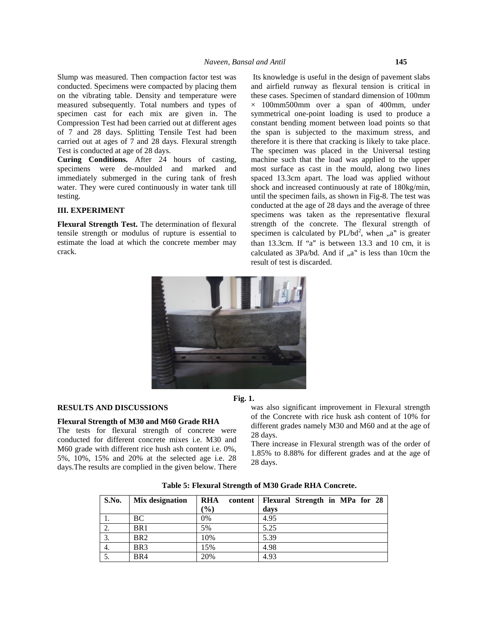Slump was measured. Then compaction factor test was conducted. Specimens were compacted by placing them on the vibrating table. Density and temperature were measured subsequently. Total numbers and types of specimen cast for each mix are given in. The Compression Test had been carried out at different ages of 7 and 28 days. Splitting Tensile Test had been carried out at ages of 7 and 28 days. Flexural strength Test is conducted at age of 28 days.

**Curing Conditions.** After 24 hours of casting, specimens were de-moulded and marked and immediately submerged in the curing tank of fresh water. They were cured continuously in water tank till testing.

# **III. EXPERIMENT**

**Flexural Strength Test.** The determination of flexural tensile strength or modulus of rupture is essential to estimate the load at which the concrete member may crack.

Its knowledge is useful in the design of pavement slabs and airfield runway as flexural tension is critical in these cases. Specimen of standard dimension of 100mm × 100mm500mm over a span of 400mm, under symmetrical one-point loading is used to produce a constant bending moment between load points so that the span is subjected to the maximum stress, and therefore it is there that cracking is likely to take place. The specimen was placed in the Universal testing machine such that the load was applied to the upper most surface as cast in the mould, along two lines spaced 13.3cm apart. The load was applied without shock and increased continuously at rate of 180kg/min, until the specimen fails, as shown in Fig-8. The test was conducted at the age of 28 days and the average of three specimens was taken as the representative flexural strength of the concrete. The flexural strength of specimen is calculated by  $PL/bd^2$ , when "a" is greater than 13.3cm. If "a" is between 13.3 and 10 cm, it is calculated as  $3Pa/bd$ . And if  $a^"$  is less than 10cm the result of test is discarded.



#### **RESULTS AND DISCUSSIONS**

## **Flexural Strength of M30 and M60 Grade RHA**

The tests for flexural strength of concrete were conducted for different concrete mixes i.e. M30 and M60 grade with different rice hush ash content i.e. 0%, 5%, 10%, 15% and 20% at the selected age i.e. 28 days.The results are complied in the given below. There

**Fig. 1.**

was also significant improvement in Flexural strength of the Concrete with rice husk ash content of 10% for different grades namely M30 and M60 and at the age of 28 days.

There increase in Flexural strength was of the order of 1.85% to 8.88% for different grades and at the age of 28 days.

| Table 5: Flexural Strength of M30 Grade RHA Concrete. |  |
|-------------------------------------------------------|--|
|-------------------------------------------------------|--|

| S.No. | Mix designation | <b>RHA</b>      | content   Flexural Strength in MPa for 28 |
|-------|-----------------|-----------------|-------------------------------------------|
|       |                 | $\mathcal{O}_0$ | days                                      |
| 1.    | BC              | 0%              | 4.95                                      |
| Ζ.    | BR <sub>1</sub> | 5%              | 5.25                                      |
| Ć.    | BR <sub>2</sub> | 10%             | 5.39                                      |
| 4.    | BR <sub>3</sub> | 15%             | 4.98                                      |
| J.    | BR4             | 20%             | 4.93                                      |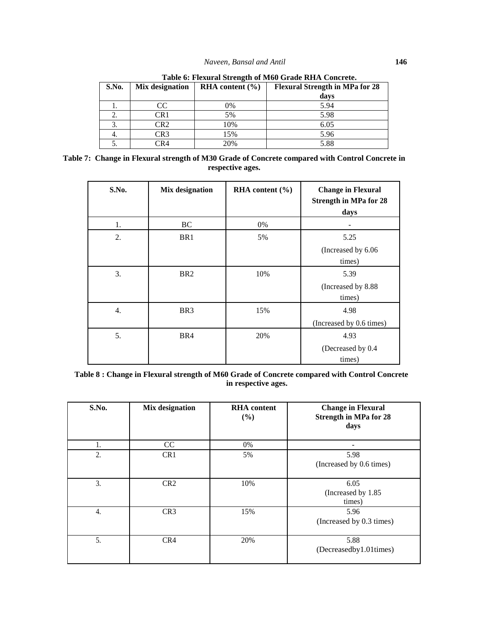| S.No. | Mix designation                    | RHA content $(\% )$ | <b>Flexural Strength in MPa for 28</b><br>days |
|-------|------------------------------------|---------------------|------------------------------------------------|
| 1.    | CС                                 | 0%                  | 5.94                                           |
| ۷.    | CR1                                | 5%                  | 5.98                                           |
| Ć.    | CR2                                | 10%                 | 6.05                                           |
| 4.    | CR3                                | 15%                 | 5.96                                           |
| J.    | $\mathcal{C} \mathbf{R} \varDelta$ | 20%                 | 5.88                                           |

| Table 6: Flexural Strength of M60 Grade RHA Concrete. |  |
|-------------------------------------------------------|--|
|-------------------------------------------------------|--|

| Table 7: Change in Flexural strength of M30 Grade of Concrete compared with Control Concrete in |  |
|-------------------------------------------------------------------------------------------------|--|
| respective ages.                                                                                |  |

| S.No. | Mix designation | RHA content $(\% )$ | <b>Change in Flexural</b><br><b>Strength in MPa for 28</b><br>days |
|-------|-----------------|---------------------|--------------------------------------------------------------------|
| 1.    | <b>BC</b>       | 0%                  |                                                                    |
| 2.    | BR1             | 5%                  | 5.25<br>(Increased by 6.06)<br>times)                              |
| 3.    | BR <sub>2</sub> | 10%                 | 5.39<br>(Increased by 8.88)<br>times)                              |
| 4.    | BR <sub>3</sub> | 15%                 | 4.98<br>(Increased by 0.6 times)                                   |
| 5.    | BR4             | 20%                 | 4.93<br>(Decreased by 0.4<br>times)                                |

**Table 8 : Change in Flexural strength of M60 Grade of Concrete compared with Control Concrete in respective ages.**

| S.No. | Mix designation | <b>RHA</b> content<br>(%) | <b>Change in Flexural</b><br><b>Strength in MPa for 28</b><br>days |
|-------|-----------------|---------------------------|--------------------------------------------------------------------|
| 1.    | CC              | 0%                        |                                                                    |
| 2.    | CR <sub>1</sub> | 5%                        | 5.98<br>(Increased by 0.6 times)                                   |
| 3.    | CR <sub>2</sub> | 10%                       | 6.05<br>(Increased by 1.85)<br>times)                              |
| 4.    | CR <sub>3</sub> | 15%                       | 5.96<br>(Increased by 0.3 times)                                   |
| 5.    | CR4             | 20%                       | 5.88<br>(Decreasedby1.01times)                                     |